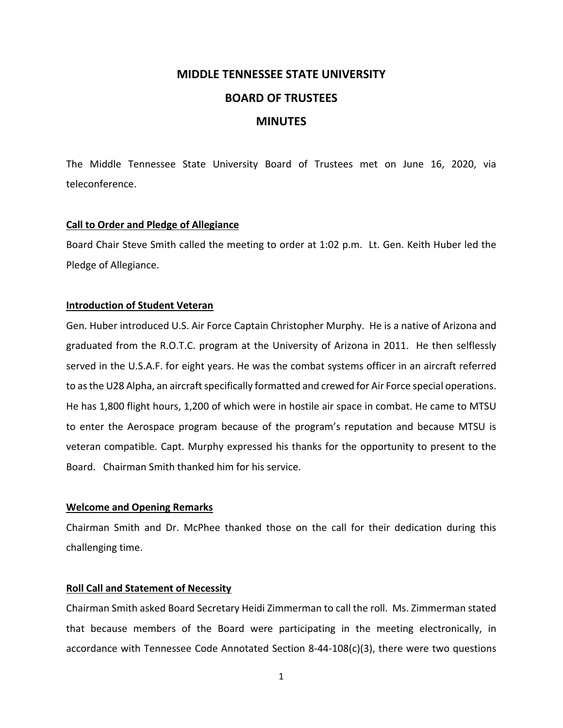# **MIDDLE TENNESSEE STATE UNIVERSITY BOARD OF TRUSTEES MINUTES**

The Middle Tennessee State University Board of Trustees met on June 16, 2020, via teleconference.

# **Call to Order and Pledge of Allegiance**

Board Chair Steve Smith called the meeting to order at 1:02 p.m. Lt. Gen. Keith Huber led the Pledge of Allegiance.

# **Introduction of Student Veteran**

Gen. Huber introduced U.S. Air Force Captain Christopher Murphy. He is a native of Arizona and graduated from the R.O.T.C. program at the University of Arizona in 2011. He then selflessly served in the U.S.A.F. for eight years. He was the combat systems officer in an aircraft referred to as the U28 Alpha, an aircraft specifically formatted and crewed for Air Force special operations. He has 1,800 flight hours, 1,200 of which were in hostile air space in combat. He came to MTSU to enter the Aerospace program because of the program's reputation and because MTSU is veteran compatible. Capt. Murphy expressed his thanks for the opportunity to present to the Board. Chairman Smith thanked him for his service.

## **Welcome and Opening Remarks**

Chairman Smith and Dr. McPhee thanked those on the call for their dedication during this challenging time.

# **Roll Call and Statement of Necessity**

Chairman Smith asked Board Secretary Heidi Zimmerman to call the roll. Ms. Zimmerman stated that because members of the Board were participating in the meeting electronically, in accordance with Tennessee Code Annotated Section 8‐44‐108(c)(3), there were two questions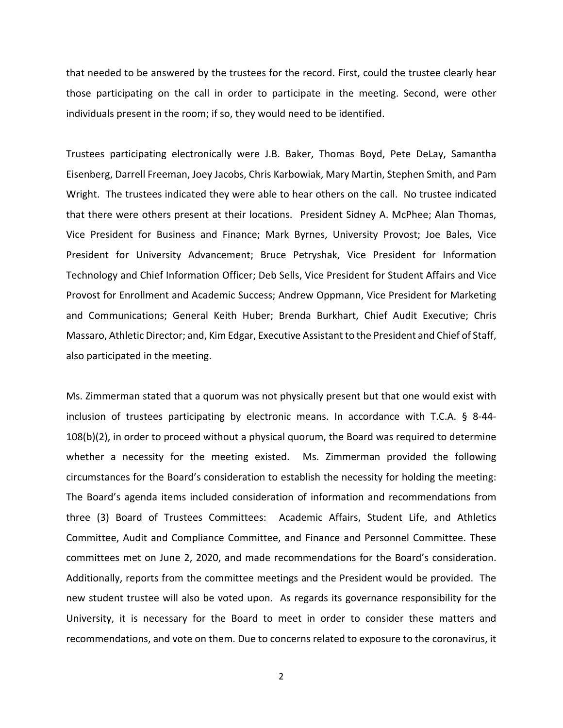that needed to be answered by the trustees for the record. First, could the trustee clearly hear those participating on the call in order to participate in the meeting. Second, were other individuals present in the room; if so, they would need to be identified.

Trustees participating electronically were J.B. Baker, Thomas Boyd, Pete DeLay, Samantha Eisenberg, Darrell Freeman, Joey Jacobs, Chris Karbowiak, Mary Martin, Stephen Smith, and Pam Wright. The trustees indicated they were able to hear others on the call. No trustee indicated that there were others present at their locations. President Sidney A. McPhee; Alan Thomas, Vice President for Business and Finance; Mark Byrnes, University Provost; Joe Bales, Vice President for University Advancement; Bruce Petryshak, Vice President for Information Technology and Chief Information Officer; Deb Sells, Vice President for Student Affairs and Vice Provost for Enrollment and Academic Success; Andrew Oppmann, Vice President for Marketing and Communications; General Keith Huber; Brenda Burkhart, Chief Audit Executive; Chris Massaro, Athletic Director; and, Kim Edgar, Executive Assistant to the President and Chief of Staff, also participated in the meeting.

Ms. Zimmerman stated that a quorum was not physically present but that one would exist with inclusion of trustees participating by electronic means. In accordance with T.C.A. § 8‐44‐ 108(b)(2), in order to proceed without a physical quorum, the Board was required to determine whether a necessity for the meeting existed. Ms. Zimmerman provided the following circumstances for the Board's consideration to establish the necessity for holding the meeting: The Board's agenda items included consideration of information and recommendations from three (3) Board of Trustees Committees: Academic Affairs, Student Life, and Athletics Committee, Audit and Compliance Committee, and Finance and Personnel Committee. These committees met on June 2, 2020, and made recommendations for the Board's consideration. Additionally, reports from the committee meetings and the President would be provided. The new student trustee will also be voted upon. As regards its governance responsibility for the University, it is necessary for the Board to meet in order to consider these matters and recommendations, and vote on them. Due to concerns related to exposure to the coronavirus, it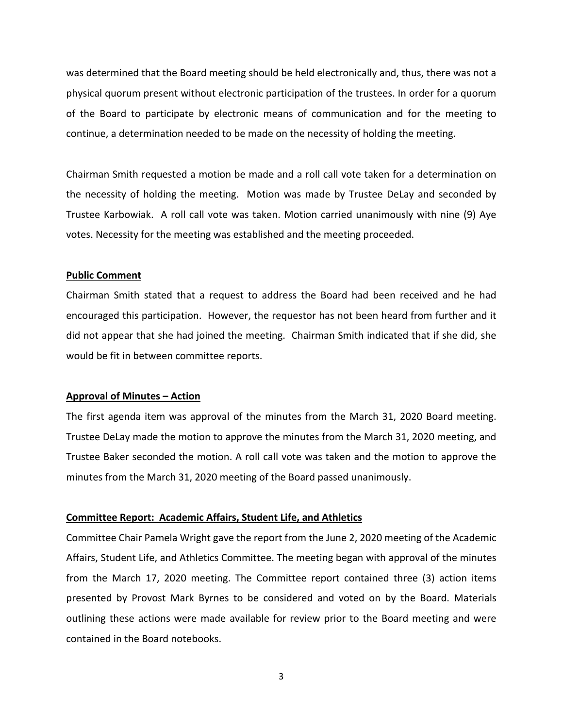was determined that the Board meeting should be held electronically and, thus, there was not a physical quorum present without electronic participation of the trustees. In order for a quorum of the Board to participate by electronic means of communication and for the meeting to continue, a determination needed to be made on the necessity of holding the meeting.

Chairman Smith requested a motion be made and a roll call vote taken for a determination on the necessity of holding the meeting. Motion was made by Trustee DeLay and seconded by Trustee Karbowiak. A roll call vote was taken. Motion carried unanimously with nine (9) Aye votes. Necessity for the meeting was established and the meeting proceeded.

## **Public Comment**

Chairman Smith stated that a request to address the Board had been received and he had encouraged this participation. However, the requestor has not been heard from further and it did not appear that she had joined the meeting. Chairman Smith indicated that if she did, she would be fit in between committee reports.

## **Approval of Minutes – Action**

The first agenda item was approval of the minutes from the March 31, 2020 Board meeting. Trustee DeLay made the motion to approve the minutes from the March 31, 2020 meeting, and Trustee Baker seconded the motion. A roll call vote was taken and the motion to approve the minutes from the March 31, 2020 meeting of the Board passed unanimously.

## **Committee Report: Academic Affairs, Student Life, and Athletics**

Committee Chair Pamela Wright gave the report from the June 2, 2020 meeting of the Academic Affairs, Student Life, and Athletics Committee. The meeting began with approval of the minutes from the March 17, 2020 meeting. The Committee report contained three (3) action items presented by Provost Mark Byrnes to be considered and voted on by the Board. Materials outlining these actions were made available for review prior to the Board meeting and were contained in the Board notebooks.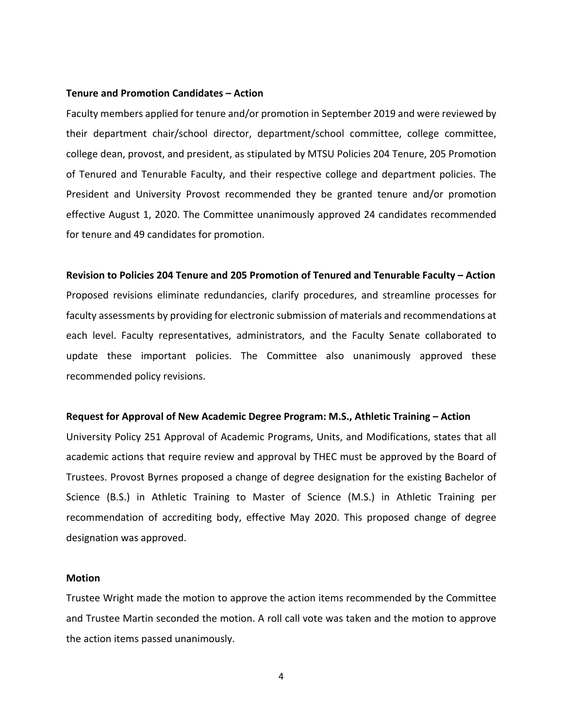## **Tenure and Promotion Candidates – Action**

Faculty members applied for tenure and/or promotion in September 2019 and were reviewed by their department chair/school director, department/school committee, college committee, college dean, provost, and president, as stipulated by MTSU Policies 204 Tenure, 205 Promotion of Tenured and Tenurable Faculty, and their respective college and department policies. The President and University Provost recommended they be granted tenure and/or promotion effective August 1, 2020. The Committee unanimously approved 24 candidates recommended for tenure and 49 candidates for promotion.

#### **Revision to Policies 204 Tenure and 205 Promotion of Tenured and Tenurable Faculty – Action**

Proposed revisions eliminate redundancies, clarify procedures, and streamline processes for faculty assessments by providing for electronic submission of materials and recommendations at each level. Faculty representatives, administrators, and the Faculty Senate collaborated to update these important policies. The Committee also unanimously approved these recommended policy revisions.

#### **Request for Approval of New Academic Degree Program: M.S., Athletic Training – Action**

University Policy 251 Approval of Academic Programs, Units, and Modifications, states that all academic actions that require review and approval by THEC must be approved by the Board of Trustees. Provost Byrnes proposed a change of degree designation for the existing Bachelor of Science (B.S.) in Athletic Training to Master of Science (M.S.) in Athletic Training per recommendation of accrediting body, effective May 2020. This proposed change of degree designation was approved.

## **Motion**

Trustee Wright made the motion to approve the action items recommended by the Committee and Trustee Martin seconded the motion. A roll call vote was taken and the motion to approve the action items passed unanimously.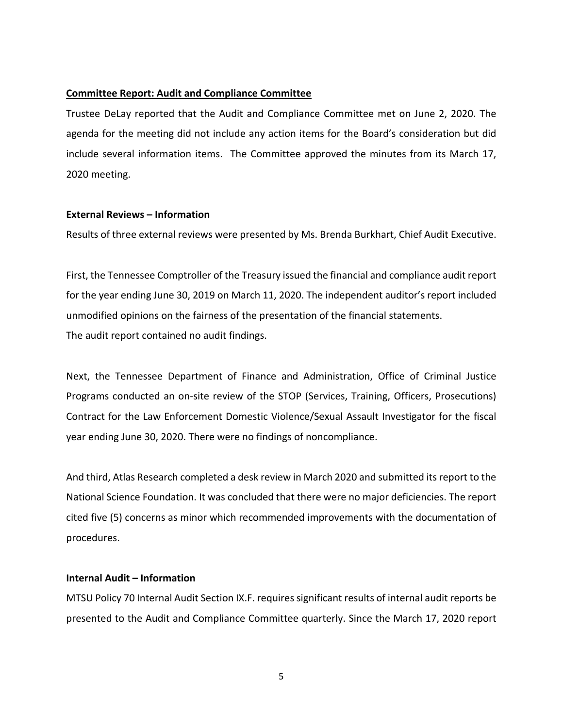## **Committee Report: Audit and Compliance Committee**

Trustee DeLay reported that the Audit and Compliance Committee met on June 2, 2020. The agenda for the meeting did not include any action items for the Board's consideration but did include several information items. The Committee approved the minutes from its March 17, 2020 meeting.

## **External Reviews – Information**

Results of three external reviews were presented by Ms. Brenda Burkhart, Chief Audit Executive.

First, the Tennessee Comptroller of the Treasury issued the financial and compliance audit report for the year ending June 30, 2019 on March 11, 2020. The independent auditor's report included unmodified opinions on the fairness of the presentation of the financial statements. The audit report contained no audit findings.

Next, the Tennessee Department of Finance and Administration, Office of Criminal Justice Programs conducted an on‐site review of the STOP (Services, Training, Officers, Prosecutions) Contract for the Law Enforcement Domestic Violence/Sexual Assault Investigator for the fiscal year ending June 30, 2020. There were no findings of noncompliance.

And third, Atlas Research completed a desk review in March 2020 and submitted itsreport to the National Science Foundation. It was concluded that there were no major deficiencies. The report cited five (5) concerns as minor which recommended improvements with the documentation of procedures.

# **Internal Audit – Information**

MTSU Policy 70 Internal Audit Section IX.F. requires significant results of internal audit reports be presented to the Audit and Compliance Committee quarterly. Since the March 17, 2020 report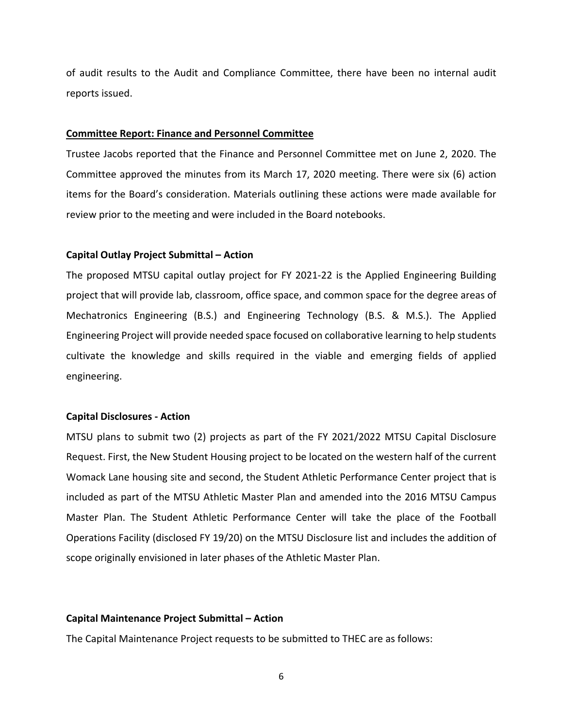of audit results to the Audit and Compliance Committee, there have been no internal audit reports issued.

#### **Committee Report: Finance and Personnel Committee**

Trustee Jacobs reported that the Finance and Personnel Committee met on June 2, 2020. The Committee approved the minutes from its March 17, 2020 meeting. There were six (6) action items for the Board's consideration. Materials outlining these actions were made available for review prior to the meeting and were included in the Board notebooks.

#### **Capital Outlay Project Submittal – Action**

The proposed MTSU capital outlay project for FY 2021‐22 is the Applied Engineering Building project that will provide lab, classroom, office space, and common space for the degree areas of Mechatronics Engineering (B.S.) and Engineering Technology (B.S. & M.S.). The Applied Engineering Project will provide needed space focused on collaborative learning to help students cultivate the knowledge and skills required in the viable and emerging fields of applied engineering.

#### **Capital Disclosures ‐ Action**

MTSU plans to submit two (2) projects as part of the FY 2021/2022 MTSU Capital Disclosure Request. First, the New Student Housing project to be located on the western half of the current Womack Lane housing site and second, the Student Athletic Performance Center project that is included as part of the MTSU Athletic Master Plan and amended into the 2016 MTSU Campus Master Plan. The Student Athletic Performance Center will take the place of the Football Operations Facility (disclosed FY 19/20) on the MTSU Disclosure list and includes the addition of scope originally envisioned in later phases of the Athletic Master Plan.

#### **Capital Maintenance Project Submittal – Action**

The Capital Maintenance Project requests to be submitted to THEC are as follows: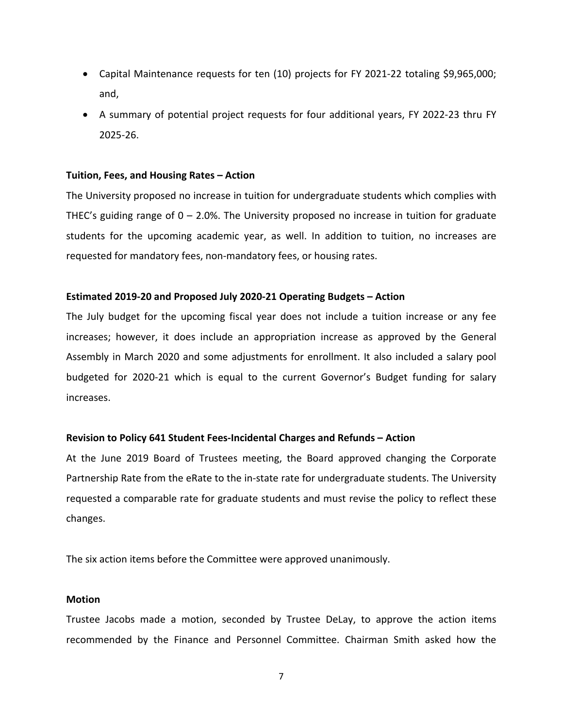- Capital Maintenance requests for ten (10) projects for FY 2021‐22 totaling \$9,965,000; and,
- A summary of potential project requests for four additional years, FY 2022‐23 thru FY 2025‐26.

## **Tuition, Fees, and Housing Rates – Action**

The University proposed no increase in tuition for undergraduate students which complies with THEC's guiding range of 0 – 2.0%. The University proposed no increase in tuition for graduate students for the upcoming academic year, as well. In addition to tuition, no increases are requested for mandatory fees, non‐mandatory fees, or housing rates.

## **Estimated 2019‐20 and Proposed July 2020‐21 Operating Budgets – Action**

The July budget for the upcoming fiscal year does not include a tuition increase or any fee increases; however, it does include an appropriation increase as approved by the General Assembly in March 2020 and some adjustments for enrollment. It also included a salary pool budgeted for 2020‐21 which is equal to the current Governor's Budget funding for salary increases.

# **Revision to Policy 641 Student Fees‐Incidental Charges and Refunds – Action**

At the June 2019 Board of Trustees meeting, the Board approved changing the Corporate Partnership Rate from the eRate to the in‐state rate for undergraduate students. The University requested a comparable rate for graduate students and must revise the policy to reflect these changes.

The six action items before the Committee were approved unanimously.

## **Motion**

Trustee Jacobs made a motion, seconded by Trustee DeLay, to approve the action items recommended by the Finance and Personnel Committee. Chairman Smith asked how the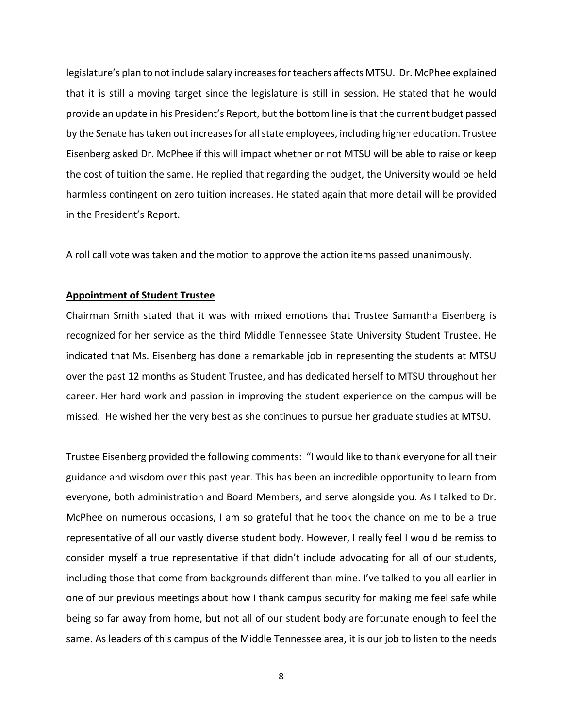legislature's plan to not include salary increases for teachers affects MTSU. Dr. McPhee explained that it is still a moving target since the legislature is still in session. He stated that he would provide an update in his President's Report, but the bottom line isthat the current budget passed by the Senate has taken out increases for all state employees, including higher education. Trustee Eisenberg asked Dr. McPhee if this will impact whether or not MTSU will be able to raise or keep the cost of tuition the same. He replied that regarding the budget, the University would be held harmless contingent on zero tuition increases. He stated again that more detail will be provided in the President's Report.

A roll call vote was taken and the motion to approve the action items passed unanimously.

#### **Appointment of Student Trustee**

Chairman Smith stated that it was with mixed emotions that Trustee Samantha Eisenberg is recognized for her service as the third Middle Tennessee State University Student Trustee. He indicated that Ms. Eisenberg has done a remarkable job in representing the students at MTSU over the past 12 months as Student Trustee, and has dedicated herself to MTSU throughout her career. Her hard work and passion in improving the student experience on the campus will be missed. He wished her the very best as she continues to pursue her graduate studies at MTSU.

Trustee Eisenberg provided the following comments: "I would like to thank everyone for all their guidance and wisdom over this past year. This has been an incredible opportunity to learn from everyone, both administration and Board Members, and serve alongside you. As I talked to Dr. McPhee on numerous occasions, I am so grateful that he took the chance on me to be a true representative of all our vastly diverse student body. However, I really feel I would be remiss to consider myself a true representative if that didn't include advocating for all of our students, including those that come from backgrounds different than mine. I've talked to you all earlier in one of our previous meetings about how I thank campus security for making me feel safe while being so far away from home, but not all of our student body are fortunate enough to feel the same. As leaders of this campus of the Middle Tennessee area, it is our job to listen to the needs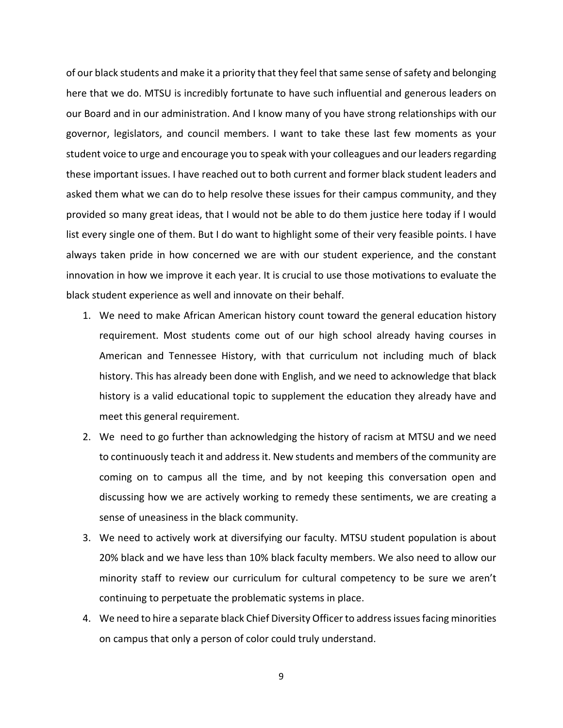of our black students and make it a priority that they feel thatsame sense ofsafety and belonging here that we do. MTSU is incredibly fortunate to have such influential and generous leaders on our Board and in our administration. And I know many of you have strong relationships with our governor, legislators, and council members. I want to take these last few moments as your student voice to urge and encourage you to speak with your colleagues and our leaders regarding these important issues. I have reached out to both current and former black student leaders and asked them what we can do to help resolve these issues for their campus community, and they provided so many great ideas, that I would not be able to do them justice here today if I would list every single one of them. But I do want to highlight some of their very feasible points. I have always taken pride in how concerned we are with our student experience, and the constant innovation in how we improve it each year. It is crucial to use those motivations to evaluate the black student experience as well and innovate on their behalf.

- 1. We need to make African American history count toward the general education history requirement. Most students come out of our high school already having courses in American and Tennessee History, with that curriculum not including much of black history. This has already been done with English, and we need to acknowledge that black history is a valid educational topic to supplement the education they already have and meet this general requirement.
- 2. We need to go further than acknowledging the history of racism at MTSU and we need to continuously teach it and addressit. New students and members of the community are coming on to campus all the time, and by not keeping this conversation open and discussing how we are actively working to remedy these sentiments, we are creating a sense of uneasiness in the black community.
- 3. We need to actively work at diversifying our faculty. MTSU student population is about 20% black and we have less than 10% black faculty members. We also need to allow our minority staff to review our curriculum for cultural competency to be sure we aren't continuing to perpetuate the problematic systems in place.
- 4. We need to hire a separate black Chief Diversity Officer to addressissuesfacing minorities on campus that only a person of color could truly understand.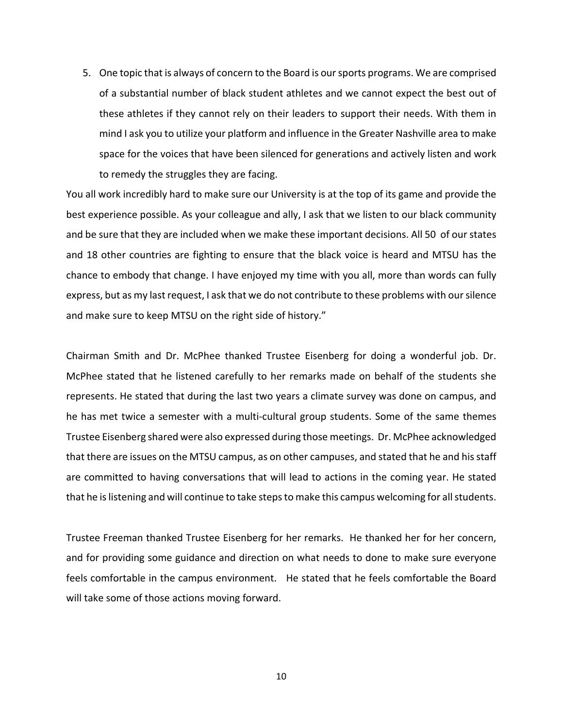5. One topic that is always of concern to the Board is oursports programs. We are comprised of a substantial number of black student athletes and we cannot expect the best out of these athletes if they cannot rely on their leaders to support their needs. With them in mind I ask you to utilize your platform and influence in the Greater Nashville area to make space for the voices that have been silenced for generations and actively listen and work to remedy the struggles they are facing.

You all work incredibly hard to make sure our University is at the top of its game and provide the best experience possible. As your colleague and ally, I ask that we listen to our black community and be sure that they are included when we make these important decisions. All 50 of our states and 18 other countries are fighting to ensure that the black voice is heard and MTSU has the chance to embody that change. I have enjoyed my time with you all, more than words can fully express, but as my last request, I ask that we do not contribute to these problems with oursilence and make sure to keep MTSU on the right side of history."

Chairman Smith and Dr. McPhee thanked Trustee Eisenberg for doing a wonderful job. Dr. McPhee stated that he listened carefully to her remarks made on behalf of the students she represents. He stated that during the last two years a climate survey was done on campus, and he has met twice a semester with a multi-cultural group students. Some of the same themes Trustee Eisenberg shared were also expressed during those meetings. Dr. McPhee acknowledged that there are issues on the MTSU campus, as on other campuses, and stated that he and hisstaff are committed to having conversations that will lead to actions in the coming year. He stated that he is listening and will continue to take steps to make this campus welcoming for all students.

Trustee Freeman thanked Trustee Eisenberg for her remarks. He thanked her for her concern, and for providing some guidance and direction on what needs to done to make sure everyone feels comfortable in the campus environment. He stated that he feels comfortable the Board will take some of those actions moving forward.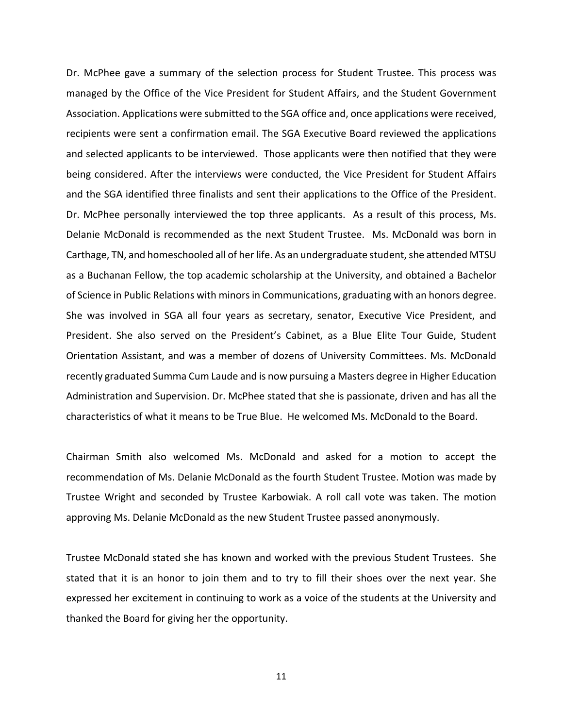Dr. McPhee gave a summary of the selection process for Student Trustee. This process was managed by the Office of the Vice President for Student Affairs, and the Student Government Association. Applications were submitted to the SGA office and, once applications were received, recipients were sent a confirmation email. The SGA Executive Board reviewed the applications and selected applicants to be interviewed. Those applicants were then notified that they were being considered. After the interviews were conducted, the Vice President for Student Affairs and the SGA identified three finalists and sent their applications to the Office of the President. Dr. McPhee personally interviewed the top three applicants. As a result of this process, Ms. Delanie McDonald is recommended as the next Student Trustee. Ms. McDonald was born in Carthage, TN, and homeschooled all of her life. As an undergraduate student, she attended MTSU as a Buchanan Fellow, the top academic scholarship at the University, and obtained a Bachelor of Science in Public Relations with minorsin Communications, graduating with an honors degree. She was involved in SGA all four years as secretary, senator, Executive Vice President, and President. She also served on the President's Cabinet, as a Blue Elite Tour Guide, Student Orientation Assistant, and was a member of dozens of University Committees. Ms. McDonald recently graduated Summa Cum Laude and is now pursuing a Masters degree in Higher Education Administration and Supervision. Dr. McPhee stated that she is passionate, driven and has all the characteristics of what it means to be True Blue. He welcomed Ms. McDonald to the Board.

Chairman Smith also welcomed Ms. McDonald and asked for a motion to accept the recommendation of Ms. Delanie McDonald as the fourth Student Trustee. Motion was made by Trustee Wright and seconded by Trustee Karbowiak. A roll call vote was taken. The motion approving Ms. Delanie McDonald as the new Student Trustee passed anonymously.

Trustee McDonald stated she has known and worked with the previous Student Trustees. She stated that it is an honor to join them and to try to fill their shoes over the next year. She expressed her excitement in continuing to work as a voice of the students at the University and thanked the Board for giving her the opportunity.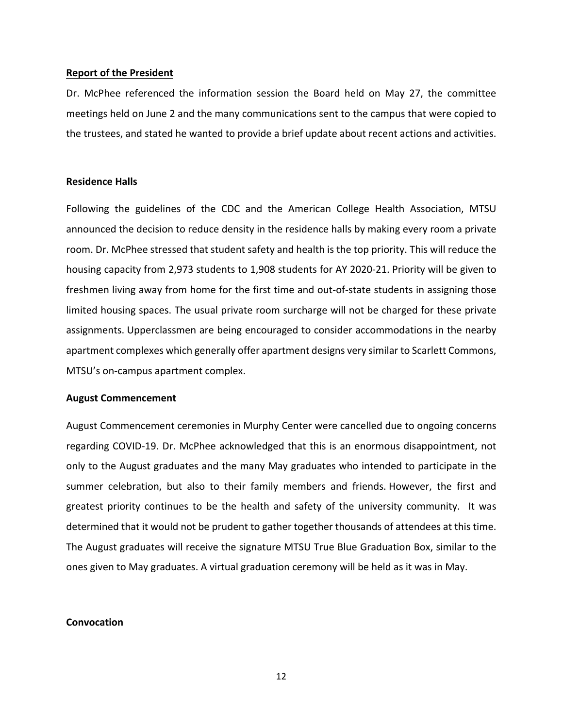#### **Report of the President**

Dr. McPhee referenced the information session the Board held on May 27, the committee meetings held on June 2 and the many communications sent to the campus that were copied to the trustees, and stated he wanted to provide a brief update about recent actions and activities.

## **Residence Halls**

Following the guidelines of the CDC and the American College Health Association, MTSU announced the decision to reduce density in the residence halls by making every room a private room. Dr. McPhee stressed that student safety and health is the top priority. This will reduce the housing capacity from 2,973 students to 1,908 students for AY 2020‐21. Priority will be given to freshmen living away from home for the first time and out‐of‐state students in assigning those limited housing spaces. The usual private room surcharge will not be charged for these private assignments. Upperclassmen are being encouraged to consider accommodations in the nearby apartment complexes which generally offer apartment designs very similar to Scarlett Commons, MTSU's on‐campus apartment complex.

#### **August Commencement**

August Commencement ceremonies in Murphy Center were cancelled due to ongoing concerns regarding COVID‐19. Dr. McPhee acknowledged that this is an enormous disappointment, not only to the August graduates and the many May graduates who intended to participate in the summer celebration, but also to their family members and friends. However, the first and greatest priority continues to be the health and safety of the university community. It was determined that it would not be prudent to gather together thousands of attendees at this time. The August graduates will receive the signature MTSU True Blue Graduation Box, similar to the ones given to May graduates. A virtual graduation ceremony will be held as it was in May.

## **Convocation**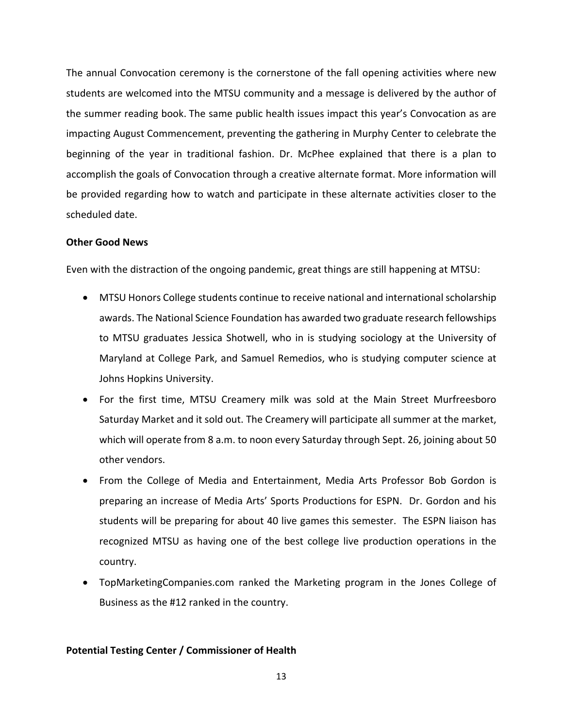The annual Convocation ceremony is the cornerstone of the fall opening activities where new students are welcomed into the MTSU community and a message is delivered by the author of the summer reading book. The same public health issues impact this year's Convocation as are impacting August Commencement, preventing the gathering in Murphy Center to celebrate the beginning of the year in traditional fashion. Dr. McPhee explained that there is a plan to accomplish the goals of Convocation through a creative alternate format. More information will be provided regarding how to watch and participate in these alternate activities closer to the scheduled date.

## **Other Good News**

Even with the distraction of the ongoing pandemic, great things are still happening at MTSU:

- MTSU Honors College students continue to receive national and international scholarship awards. The National Science Foundation has awarded two graduate research fellowships to MTSU graduates Jessica Shotwell, who in is studying sociology at the University of Maryland at College Park, and Samuel Remedios, who is studying computer science at Johns Hopkins University.
- For the first time, MTSU Creamery milk was sold at the Main Street Murfreesboro Saturday Market and it sold out. The Creamery will participate all summer at the market, which will operate from 8 a.m. to noon every Saturday through Sept. 26, joining about 50 other vendors.
- From the College of Media and Entertainment, Media Arts Professor Bob Gordon is preparing an increase of Media Arts' Sports Productions for ESPN. Dr. Gordon and his students will be preparing for about 40 live games this semester. The ESPN liaison has recognized MTSU as having one of the best college live production operations in the country.
- TopMarketingCompanies.com ranked the Marketing program in the Jones College of Business as the #12 ranked in the country.

# **Potential Testing Center / Commissioner of Health**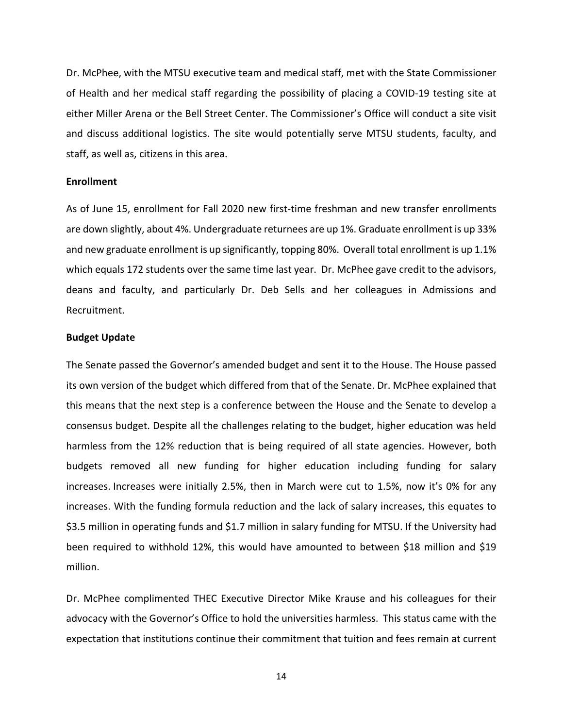Dr. McPhee, with the MTSU executive team and medical staff, met with the State Commissioner of Health and her medical staff regarding the possibility of placing a COVID‐19 testing site at either Miller Arena or the Bell Street Center. The Commissioner's Office will conduct a site visit and discuss additional logistics. The site would potentially serve MTSU students, faculty, and staff, as well as, citizens in this area.

## **Enrollment**

As of June 15, enrollment for Fall 2020 new first-time freshman and new transfer enrollments are down slightly, about 4%. Undergraduate returnees are up 1%. Graduate enrollment is up 33% and new graduate enrollment is up significantly, topping 80%. Overall total enrollment is up 1.1% which equals 172 students over the same time last year. Dr. McPhee gave credit to the advisors, deans and faculty, and particularly Dr. Deb Sells and her colleagues in Admissions and Recruitment.

#### **Budget Update**

The Senate passed the Governor's amended budget and sent it to the House. The House passed its own version of the budget which differed from that of the Senate. Dr. McPhee explained that this means that the next step is a conference between the House and the Senate to develop a consensus budget. Despite all the challenges relating to the budget, higher education was held harmless from the 12% reduction that is being required of all state agencies. However, both budgets removed all new funding for higher education including funding for salary increases. Increases were initially 2.5%, then in March were cut to 1.5%, now it's 0% for any increases. With the funding formula reduction and the lack of salary increases, this equates to \$3.5 million in operating funds and \$1.7 million in salary funding for MTSU. If the University had been required to withhold 12%, this would have amounted to between \$18 million and \$19 million.

Dr. McPhee complimented THEC Executive Director Mike Krause and his colleagues for their advocacy with the Governor's Office to hold the universities harmless. This status came with the expectation that institutions continue their commitment that tuition and fees remain at current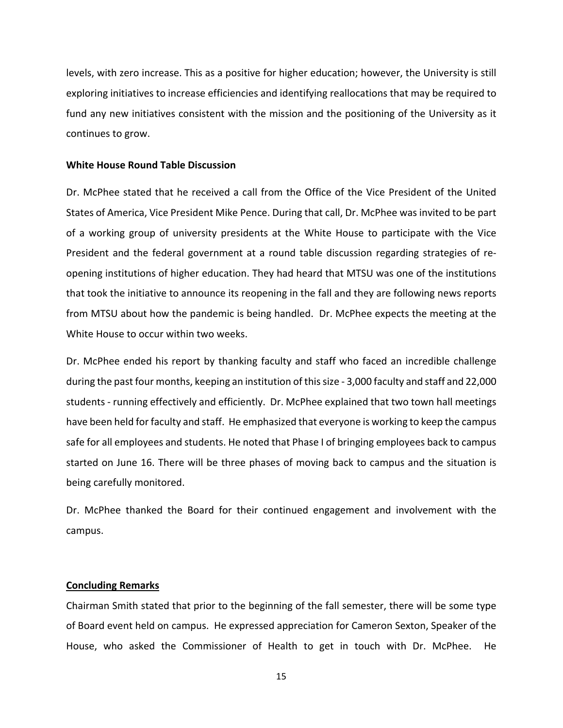levels, with zero increase. This as a positive for higher education; however, the University is still exploring initiatives to increase efficiencies and identifying reallocations that may be required to fund any new initiatives consistent with the mission and the positioning of the University as it continues to grow.

#### **White House Round Table Discussion**

Dr. McPhee stated that he received a call from the Office of the Vice President of the United States of America, Vice President Mike Pence. During that call, Dr. McPhee was invited to be part of a working group of university presidents at the White House to participate with the Vice President and the federal government at a round table discussion regarding strategies of re‐ opening institutions of higher education. They had heard that MTSU was one of the institutions that took the initiative to announce its reopening in the fall and they are following news reports from MTSU about how the pandemic is being handled. Dr. McPhee expects the meeting at the White House to occur within two weeks.

Dr. McPhee ended his report by thanking faculty and staff who faced an incredible challenge during the past four months, keeping an institution of thissize ‐ 3,000 faculty and staff and 22,000 students ‐ running effectively and efficiently. Dr. McPhee explained that two town hall meetings have been held for faculty and staff. He emphasized that everyone is working to keep the campus safe for all employees and students. He noted that Phase I of bringing employees back to campus started on June 16. There will be three phases of moving back to campus and the situation is being carefully monitored.

Dr. McPhee thanked the Board for their continued engagement and involvement with the campus.

#### **Concluding Remarks**

Chairman Smith stated that prior to the beginning of the fall semester, there will be some type of Board event held on campus. He expressed appreciation for Cameron Sexton, Speaker of the House, who asked the Commissioner of Health to get in touch with Dr. McPhee. He